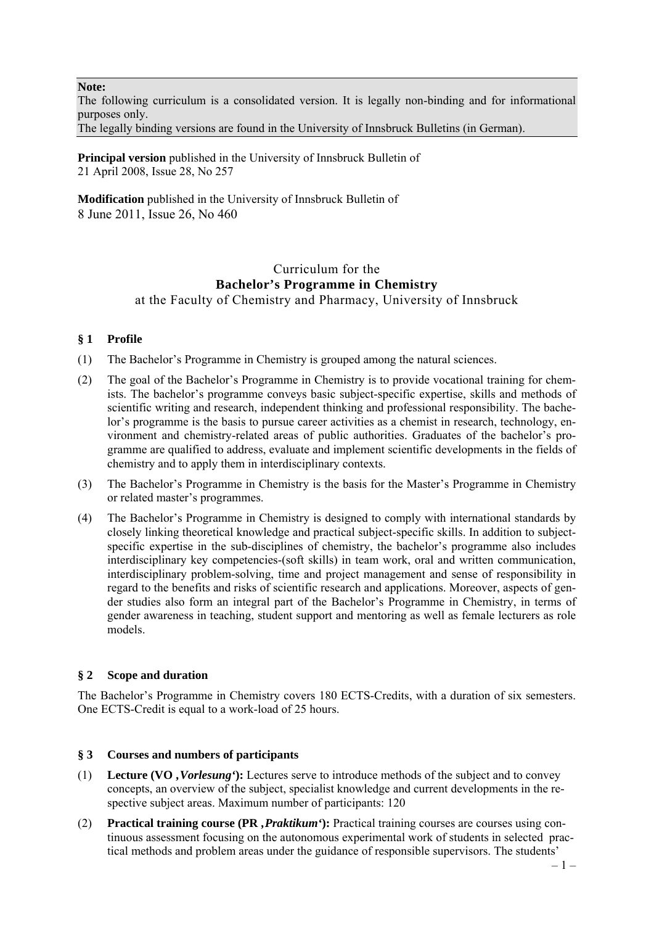**Note:**

The following curriculum is a consolidated version. It is legally non-binding and for informational purposes only.

The legally binding versions are found in the University of Innsbruck Bulletins (in German).

**Principal version** published in the University of Innsbruck Bulletin of 21 April 2008, Issue 28, No 257

**Modification** published in the University of Innsbruck Bulletin of 8 June 2011, Issue 26, No 460

# Curriculum for the **Bachelor's Programme in Chemistry**  at the Faculty of Chemistry and Pharmacy, University of Innsbruck

# **§ 1 Profile**

- (1) The Bachelor's Programme in Chemistry is grouped among the natural sciences.
- (2) The goal of the Bachelor's Programme in Chemistry is to provide vocational training for chemists. The bachelor's programme conveys basic subject-specific expertise, skills and methods of scientific writing and research, independent thinking and professional responsibility. The bachelor's programme is the basis to pursue career activities as a chemist in research, technology, environment and chemistry-related areas of public authorities. Graduates of the bachelor's programme are qualified to address, evaluate and implement scientific developments in the fields of chemistry and to apply them in interdisciplinary contexts.
- (3) The Bachelor's Programme in Chemistry is the basis for the Master's Programme in Chemistry or related master's programmes.
- (4) The Bachelor's Programme in Chemistry is designed to comply with international standards by closely linking theoretical knowledge and practical subject-specific skills. In addition to subjectspecific expertise in the sub-disciplines of chemistry, the bachelor's programme also includes interdisciplinary key competencies-(soft skills) in team work, oral and written communication, interdisciplinary problem-solving, time and project management and sense of responsibility in regard to the benefits and risks of scientific research and applications. Moreover, aspects of gender studies also form an integral part of the Bachelor's Programme in Chemistry, in terms of gender awareness in teaching, student support and mentoring as well as female lecturers as role models.

# **§ 2 Scope and duration**

The Bachelor's Programme in Chemistry covers 180 ECTS-Credits, with a duration of six semesters. One ECTS-Credit is equal to a work-load of 25 hours.

# **§ 3 Courses and numbers of participants**

- (1) **Lecture (VO** *'Vorlesung'***):** Lectures serve to introduce methods of the subject and to convey concepts, an overview of the subject, specialist knowledge and current developments in the respective subject areas. Maximum number of participants: 120
- (2) **Practical training course (PR** *'Praktikum'***):** Practical training courses are courses using continuous assessment focusing on the autonomous experimental work of students in selected practical methods and problem areas under the guidance of responsible supervisors. The students'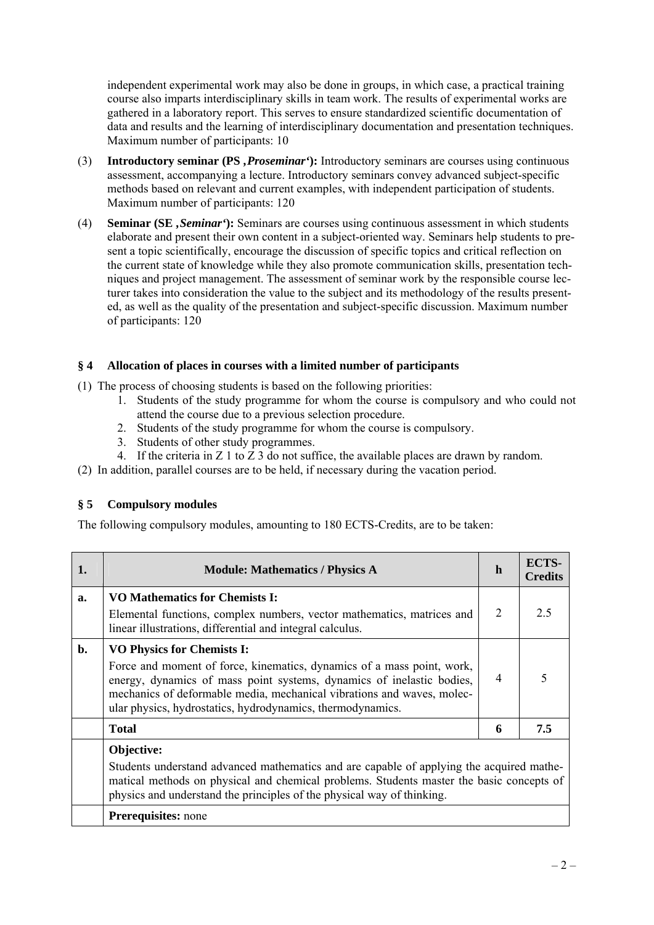independent experimental work may also be done in groups, in which case, a practical training course also imparts interdisciplinary skills in team work. The results of experimental works are gathered in a laboratory report. This serves to ensure standardized scientific documentation of data and results and the learning of interdisciplinary documentation and presentation techniques. Maximum number of participants: 10

- (3) **Introductory seminar (PS** *'Proseminar'***):** Introductory seminars are courses using continuous assessment, accompanying a lecture. Introductory seminars convey advanced subject-specific methods based on relevant and current examples, with independent participation of students. Maximum number of participants: 120
- (4) **Seminar (SE** *'Seminar'***):** Seminars are courses using continuous assessment in which students elaborate and present their own content in a subject-oriented way. Seminars help students to present a topic scientifically, encourage the discussion of specific topics and critical reflection on the current state of knowledge while they also promote communication skills, presentation techniques and project management. The assessment of seminar work by the responsible course lecturer takes into consideration the value to the subject and its methodology of the results presented, as well as the quality of the presentation and subject-specific discussion. Maximum number of participants: 120

# **§ 4 Allocation of places in courses with a limited number of participants**

(1) The process of choosing students is based on the following priorities:

- 1. Students of the study programme for whom the course is compulsory and who could not attend the course due to a previous selection procedure.
- 2. Students of the study programme for whom the course is compulsory.
- 3. Students of other study programmes.
- 4. If the criteria in Z 1 to  $\overline{Z}$  3 do not suffice, the available places are drawn by random.
- (2) In addition, parallel courses are to be held, if necessary during the vacation period.

### **§ 5 Compulsory modules**

**Prerequisites:** none

The following compulsory modules, amounting to 180 ECTS-Credits, are to be taken:

physics and understand the principles of the physical way of thinking.

| 1.    | <b>Module: Mathematics / Physics A</b>                                                                                                                                                                                                                                                                                       | h              | ECTS-<br><b>Credits</b>  |
|-------|------------------------------------------------------------------------------------------------------------------------------------------------------------------------------------------------------------------------------------------------------------------------------------------------------------------------------|----------------|--------------------------|
| a.    | <b>VO Mathematics for Chemists I:</b><br>Elemental functions, complex numbers, vector mathematics, matrices and<br>linear illustrations, differential and integral calculus.                                                                                                                                                 | 2              | 2.5                      |
| $b$ . | <b>VO Physics for Chemists I:</b><br>Force and moment of force, kinematics, dynamics of a mass point, work,<br>energy, dynamics of mass point systems, dynamics of inelastic bodies,<br>mechanics of deformable media, mechanical vibrations and waves, molec-<br>ular physics, hydrostatics, hydrodynamics, thermodynamics. | $\overline{4}$ | $\overline{\phantom{1}}$ |
|       | <b>Total</b>                                                                                                                                                                                                                                                                                                                 | 6              | 7.5                      |
|       | Objective:<br>Students understand advanced mathematics and are capable of applying the acquired mathe-<br>matical methods on physical and chemical problems. Students master the basic concepts of                                                                                                                           |                |                          |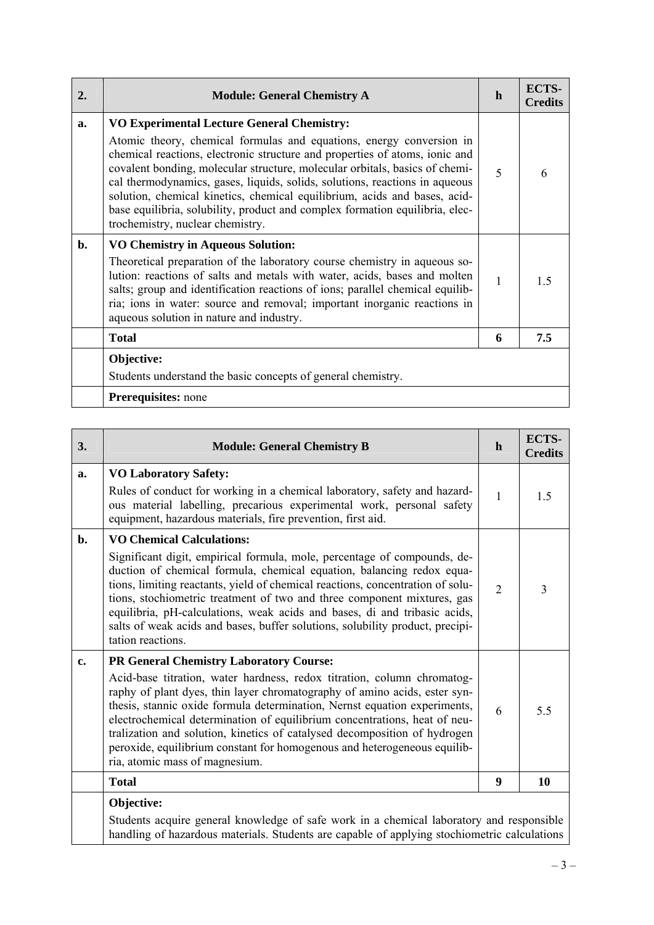| $\overline{2}$ . | <b>Module: General Chemistry A</b>                                                                                                                                                                                                                                                                                                                                                                                                                                                                                                                                      | h                        | ECTS-<br><b>Credits</b> |
|------------------|-------------------------------------------------------------------------------------------------------------------------------------------------------------------------------------------------------------------------------------------------------------------------------------------------------------------------------------------------------------------------------------------------------------------------------------------------------------------------------------------------------------------------------------------------------------------------|--------------------------|-------------------------|
| a.               | <b>VO Experimental Lecture General Chemistry:</b><br>Atomic theory, chemical formulas and equations, energy conversion in<br>chemical reactions, electronic structure and properties of atoms, ionic and<br>covalent bonding, molecular structure, molecular orbitals, basics of chemi-<br>cal thermodynamics, gases, liquids, solids, solutions, reactions in aqueous<br>solution, chemical kinetics, chemical equilibrium, acids and bases, acid-<br>base equilibria, solubility, product and complex formation equilibria, elec-<br>trochemistry, nuclear chemistry. | $\overline{\mathcal{L}}$ | 6                       |
| $\mathbf{b}$ .   | <b>VO Chemistry in Aqueous Solution:</b><br>Theoretical preparation of the laboratory course chemistry in aqueous so-<br>lution: reactions of salts and metals with water, acids, bases and molten<br>salts; group and identification reactions of ions; parallel chemical equilib-<br>ria; ions in water: source and removal; important inorganic reactions in<br>aqueous solution in nature and industry.                                                                                                                                                             | 1                        | 1 <sub>5</sub>          |
|                  | <b>Total</b>                                                                                                                                                                                                                                                                                                                                                                                                                                                                                                                                                            | 6                        | 7.5                     |
|                  | Objective:<br>Students understand the basic concepts of general chemistry.                                                                                                                                                                                                                                                                                                                                                                                                                                                                                              |                          |                         |
|                  | Prerequisites: none                                                                                                                                                                                                                                                                                                                                                                                                                                                                                                                                                     |                          |                         |

| 3.             | <b>Module: General Chemistry B</b>                                                                                                                                                                                                                                                                                                                                                                                                                                                                                                                          | $\mathbf h$    | <b>ECTS-</b><br><b>Credits</b> |
|----------------|-------------------------------------------------------------------------------------------------------------------------------------------------------------------------------------------------------------------------------------------------------------------------------------------------------------------------------------------------------------------------------------------------------------------------------------------------------------------------------------------------------------------------------------------------------------|----------------|--------------------------------|
| a.             | <b>VO Laboratory Safety:</b><br>Rules of conduct for working in a chemical laboratory, safety and hazard-<br>ous material labelling, precarious experimental work, personal safety<br>equipment, hazardous materials, fire prevention, first aid.                                                                                                                                                                                                                                                                                                           | 1              | 1.5                            |
| $\mathbf{b}$ . | <b>VO Chemical Calculations:</b><br>Significant digit, empirical formula, mole, percentage of compounds, de-<br>duction of chemical formula, chemical equation, balancing redox equa-<br>tions, limiting reactants, yield of chemical reactions, concentration of solu-<br>tions, stochiometric treatment of two and three component mixtures, gas<br>equilibria, pH-calculations, weak acids and bases, di and tribasic acids,<br>salts of weak acids and bases, buffer solutions, solubility product, precipi-<br>tation reactions.                       | $\overline{2}$ | 3                              |
| $c_{\bullet}$  | <b>PR General Chemistry Laboratory Course:</b><br>Acid-base titration, water hardness, redox titration, column chromatog-<br>raphy of plant dyes, thin layer chromatography of amino acids, ester syn-<br>thesis, stannic oxide formula determination, Nernst equation experiments,<br>electrochemical determination of equilibrium concentrations, heat of neu-<br>tralization and solution, kinetics of catalysed decomposition of hydrogen<br>peroxide, equilibrium constant for homogenous and heterogeneous equilib-<br>ria, atomic mass of magnesium. | 6              | 5.5                            |
|                | <b>Total</b>                                                                                                                                                                                                                                                                                                                                                                                                                                                                                                                                                | 9              | 10                             |
|                | Objective:<br>Students acquire general knowledge of safe work in a chemical laboratory and responsible<br>handling of hazardous materials. Students are capable of applying stochiometric calculations                                                                                                                                                                                                                                                                                                                                                      |                |                                |

 $\sim$ 

 $\overline{\phantom{a}}$ 

 $\overline{\phantom{0}}$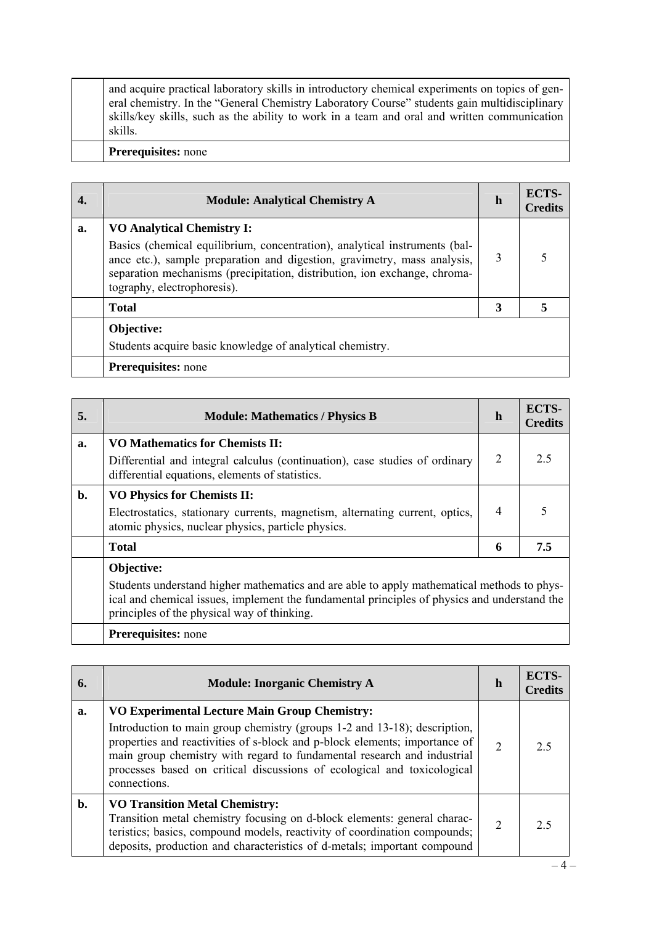| 4. | <b>Module: Analytical Chemistry A</b>                                                                                                                                                                                                                                                                   | h | ECTS-<br><b>Credits</b> |
|----|---------------------------------------------------------------------------------------------------------------------------------------------------------------------------------------------------------------------------------------------------------------------------------------------------------|---|-------------------------|
| a. | <b>VO Analytical Chemistry I:</b><br>Basics (chemical equilibrium, concentration), analytical instruments (bal-<br>ance etc.), sample preparation and digestion, gravimetry, mass analysis,<br>separation mechanisms (precipitation, distribution, ion exchange, chroma-<br>tography, electrophoresis). | 3 |                         |
|    | <b>Total</b>                                                                                                                                                                                                                                                                                            | 3 |                         |
|    | Objective:<br>Students acquire basic knowledge of analytical chemistry.                                                                                                                                                                                                                                 |   |                         |
|    | <b>Prerequisites:</b> none                                                                                                                                                                                                                                                                              |   |                         |

| 5. | <b>Module: Mathematics / Physics B</b>                                                                                                                                                                                                                  | h              | <b>ECTS-</b><br><b>Credits</b> |
|----|---------------------------------------------------------------------------------------------------------------------------------------------------------------------------------------------------------------------------------------------------------|----------------|--------------------------------|
| a. | <b>VO Mathematics for Chemists II:</b><br>Differential and integral calculus (continuation), case studies of ordinary<br>differential equations, elements of statistics.                                                                                | $\overline{2}$ | 2.5                            |
| b. | <b>VO Physics for Chemists II:</b><br>Electrostatics, stationary currents, magnetism, alternating current, optics,<br>atomic physics, nuclear physics, particle physics.                                                                                | $\overline{4}$ |                                |
|    | <b>Total</b>                                                                                                                                                                                                                                            | 6              | 7.5                            |
|    | Objective:<br>Students understand higher mathematics and are able to apply mathematical methods to phys-<br>ical and chemical issues, implement the fundamental principles of physics and understand the<br>principles of the physical way of thinking. |                |                                |
|    | <b>Prerequisites:</b> none                                                                                                                                                                                                                              |                |                                |

| 6. | <b>Module: Inorganic Chemistry A</b>                                                                                                                                                                                                                                                                                                                                                  | h              | ECTS-<br>Credits |
|----|---------------------------------------------------------------------------------------------------------------------------------------------------------------------------------------------------------------------------------------------------------------------------------------------------------------------------------------------------------------------------------------|----------------|------------------|
| a. | <b>VO Experimental Lecture Main Group Chemistry:</b><br>Introduction to main group chemistry (groups 1-2 and 13-18); description,<br>properties and reactivities of s-block and p-block elements; importance of<br>main group chemistry with regard to fundamental research and industrial<br>processes based on critical discussions of ecological and toxicological<br>connections. | $\overline{2}$ | 25               |
| b. | <b>VO Transition Metal Chemistry:</b><br>Transition metal chemistry focusing on d-block elements: general charac-<br>teristics; basics, compound models, reactivity of coordination compounds;<br>deposits, production and characteristics of d-metals; important compound                                                                                                            | 2              | ? 5              |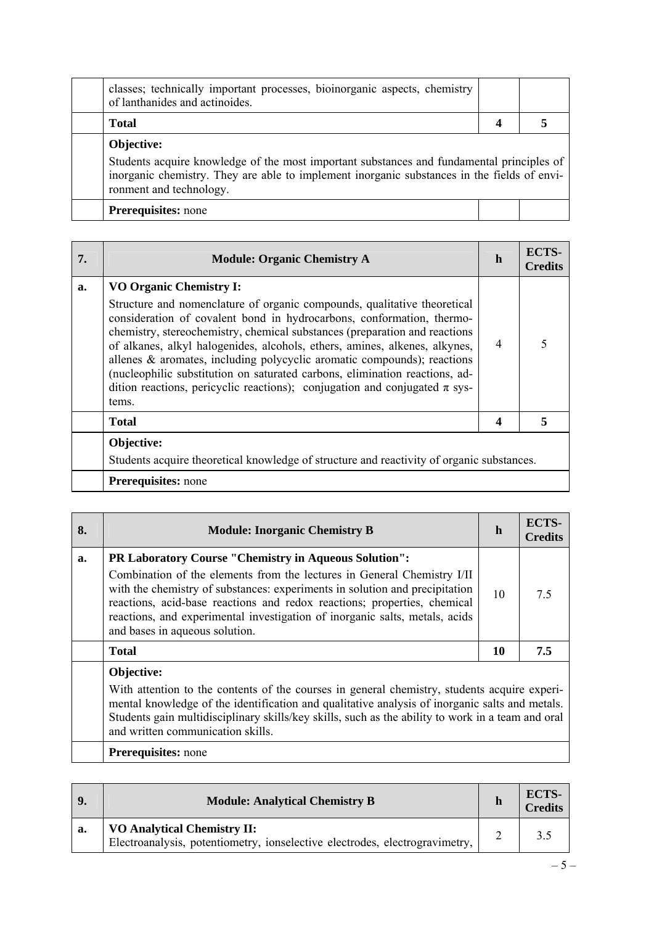| classes; technically important processes, bioinorganic aspects, chemistry<br>of lanthanides and actinoides.                                                                                                         |  |
|---------------------------------------------------------------------------------------------------------------------------------------------------------------------------------------------------------------------|--|
| <b>Total</b>                                                                                                                                                                                                        |  |
| Objective:                                                                                                                                                                                                          |  |
| Students acquire knowledge of the most important substances and fundamental principles of<br>inorganic chemistry. They are able to implement inorganic substances in the fields of envi-<br>ronment and technology. |  |
| <b>Prerequisites:</b> none                                                                                                                                                                                          |  |

| 7. | <b>Module: Organic Chemistry A</b>                                                                                                                                                                                                                                                                                                                                                                                                                                                                                                                                                                      | $\mathbf h$ | <b>ECTS-</b><br><b>Credits</b> |
|----|---------------------------------------------------------------------------------------------------------------------------------------------------------------------------------------------------------------------------------------------------------------------------------------------------------------------------------------------------------------------------------------------------------------------------------------------------------------------------------------------------------------------------------------------------------------------------------------------------------|-------------|--------------------------------|
| a. | <b>VO Organic Chemistry I:</b><br>Structure and nomenclature of organic compounds, qualitative theoretical<br>consideration of covalent bond in hydrocarbons, conformation, thermo-<br>chemistry, stereochemistry, chemical substances (preparation and reactions<br>of alkanes, alkyl halogenides, alcohols, ethers, amines, alkenes, alkynes,<br>allenes $\&$ aromates, including polycyclic aromatic compounds); reactions<br>(nucleophilic substitution on saturated carbons, elimination reactions, ad-<br>dition reactions, pericyclic reactions); conjugation and conjugated $\pi$ sys-<br>tems. | 4           |                                |
|    | <b>Total</b>                                                                                                                                                                                                                                                                                                                                                                                                                                                                                                                                                                                            | 4           |                                |
|    | Objective:<br>Students acquire theoretical knowledge of structure and reactivity of organic substances.                                                                                                                                                                                                                                                                                                                                                                                                                                                                                                 |             |                                |
|    | <b>Prerequisites:</b> none                                                                                                                                                                                                                                                                                                                                                                                                                                                                                                                                                                              |             |                                |

| 8. | <b>Module: Inorganic Chemistry B</b>                                                                                                                                                                                                                                                                                                                                                                                | $\mathbf h$ | ECTS-<br><b>Credits</b> |
|----|---------------------------------------------------------------------------------------------------------------------------------------------------------------------------------------------------------------------------------------------------------------------------------------------------------------------------------------------------------------------------------------------------------------------|-------------|-------------------------|
| a. | <b>PR Laboratory Course "Chemistry in Aqueous Solution":</b><br>Combination of the elements from the lectures in General Chemistry I/II<br>with the chemistry of substances: experiments in solution and precipitation<br>reactions, acid-base reactions and redox reactions; properties, chemical<br>reactions, and experimental investigation of inorganic salts, metals, acids<br>and bases in aqueous solution. | 10          | 7.5                     |
|    | <b>Total</b>                                                                                                                                                                                                                                                                                                                                                                                                        | 10          | 7.5                     |
|    | Objective:<br>With attention to the contents of the courses in general chemistry, students acquire experi-<br>mental knowledge of the identification and qualitative analysis of inorganic salts and metals.<br>Students gain multidisciplinary skills/key skills, such as the ability to work in a team and oral<br>and written communication skills.                                                              |             |                         |
|    | <b>Prerequisites:</b> none                                                                                                                                                                                                                                                                                                                                                                                          |             |                         |

| 9. | <b>Module: Analytical Chemistry B</b>                                                                             | <b>ECTS-</b><br>Credits |
|----|-------------------------------------------------------------------------------------------------------------------|-------------------------|
| a. | <b>VO Analytical Chemistry II:</b><br>Electroanalysis, potentiometry, ionselective electrodes, electrogravimetry, | 3.5                     |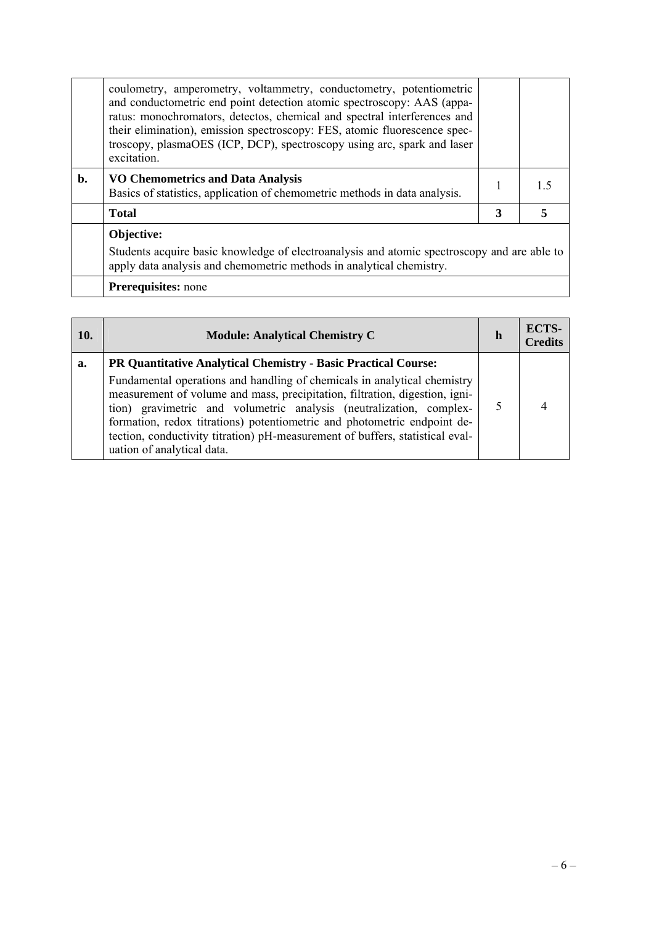|    | coulometry, amperometry, voltammetry, conductometry, potentiometric<br>and conductometric end point detection atomic spectroscopy: AAS (appa-<br>ratus: monochromators, detectos, chemical and spectral interferences and<br>their elimination), emission spectroscopy: FES, atomic fluorescence spec-<br>troscopy, plasmaOES (ICP, DCP), spectroscopy using arc, spark and laser<br>excitation. |   |  |
|----|--------------------------------------------------------------------------------------------------------------------------------------------------------------------------------------------------------------------------------------------------------------------------------------------------------------------------------------------------------------------------------------------------|---|--|
| b. | <b>VO Chemometrics and Data Analysis</b><br>Basics of statistics, application of chemometric methods in data analysis.                                                                                                                                                                                                                                                                           |   |  |
|    | <b>Total</b>                                                                                                                                                                                                                                                                                                                                                                                     | 3 |  |
|    | Objective:<br>Students acquire basic knowledge of electroanalysis and atomic spectroscopy and are able to<br>apply data analysis and chemometric methods in analytical chemistry.                                                                                                                                                                                                                |   |  |
|    | <b>Prerequisites:</b> none                                                                                                                                                                                                                                                                                                                                                                       |   |  |

| <b>10.</b> | <b>Module: Analytical Chemistry C</b>                                                                                                                                                                                                                                                                                                                                                                                                                                                       |  | ECTS-<br><b>Credits</b> |
|------------|---------------------------------------------------------------------------------------------------------------------------------------------------------------------------------------------------------------------------------------------------------------------------------------------------------------------------------------------------------------------------------------------------------------------------------------------------------------------------------------------|--|-------------------------|
| a.         | PR Quantitative Analytical Chemistry - Basic Practical Course:<br>Fundamental operations and handling of chemicals in analytical chemistry<br>measurement of volume and mass, precipitation, filtration, digestion, igni-<br>tion) gravimetric and volumetric analysis (neutralization, complex-<br>formation, redox titrations) potentiometric and photometric endpoint de-<br>tection, conductivity titration) pH-measurement of buffers, statistical eval-<br>uation of analytical data. |  |                         |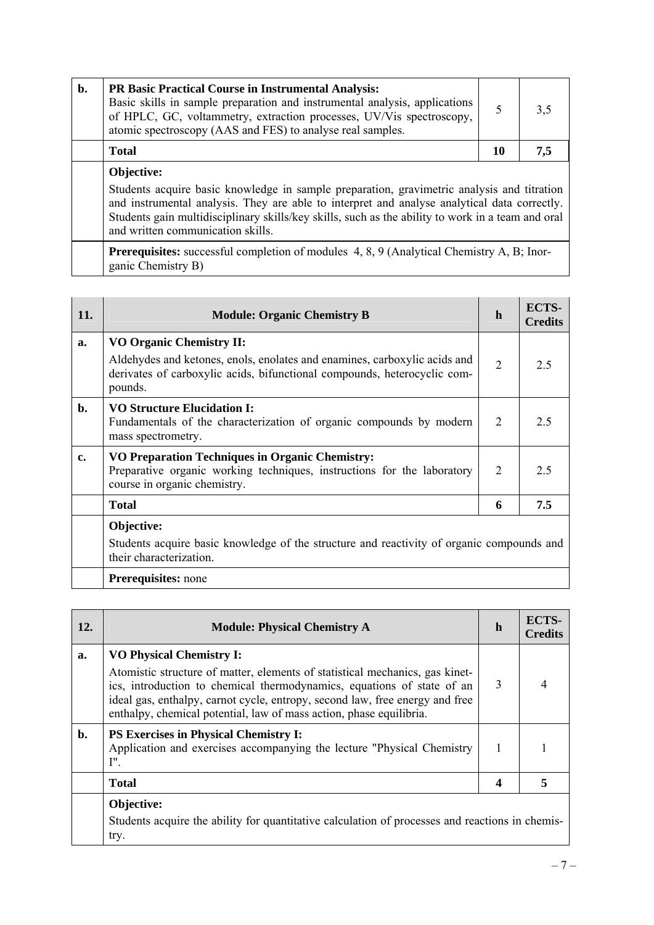| b. | <b>PR Basic Practical Course in Instrumental Analysis:</b><br>Basic skills in sample preparation and instrumental analysis, applications<br>of HPLC, GC, voltammetry, extraction processes, UV/Vis spectroscopy,<br>atomic spectroscopy (AAS and FES) to analyse real samples. |    | 3,5 |
|----|--------------------------------------------------------------------------------------------------------------------------------------------------------------------------------------------------------------------------------------------------------------------------------|----|-----|
|    | <b>Total</b>                                                                                                                                                                                                                                                                   | 10 | 7,5 |
|    | Objective:<br>$\mathbf{r}$ , and $\mathbf{r}$ , and $\mathbf{r}$ , and $\mathbf{r}$ , and $\mathbf{r}$ , and $\mathbf{r}$ , and $\mathbf{r}$<br>$\sim$ $\sim$ $\sim$ $\sim$                                                                                                    |    |     |

Students acquire basic knowledge in sample preparation, gravimetric analysis and titration and instrumental analysis. They are able to interpret and analyse analytical data correctly. Students gain multidisciplinary skills/key skills, such as the ability to work in a team and oral and written communication skills.

Prerequisites: successful completion of modules 4, 8, 9 (Analytical Chemistry A, B; Inorganic Chemistry B)

| 11. | <b>Module: Organic Chemistry B</b>                                                                                                                                                                  | h              | ECTS-<br><b>Credits</b> |
|-----|-----------------------------------------------------------------------------------------------------------------------------------------------------------------------------------------------------|----------------|-------------------------|
| a.  | <b>VO Organic Chemistry II:</b><br>Aldehydes and ketones, enols, enolates and enamines, carboxylic acids and<br>derivates of carboxylic acids, bifunctional compounds, heterocyclic com-<br>pounds. | $\overline{2}$ | 2.5                     |
| b.  | <b>VO Structure Elucidation I:</b><br>Fundamentals of the characterization of organic compounds by modern<br>mass spectrometry.                                                                     | 2              | 2.5                     |
| c.  | VO Preparation Techniques in Organic Chemistry:<br>Preparative organic working techniques, instructions for the laboratory<br>course in organic chemistry.                                          | 2              | 2.5                     |
|     | <b>Total</b>                                                                                                                                                                                        | 6              | 7.5                     |
|     | Objective:<br>Students acquire basic knowledge of the structure and reactivity of organic compounds and<br>their characterization.                                                                  |                |                         |
|     | <b>Prerequisites:</b> none                                                                                                                                                                          |                |                         |

| 12.            | <b>Module: Physical Chemistry A</b>                                                                                                                                                                                                                                                                                                              | $\mathbf h$ | ECTS-<br><b>Credits</b> |
|----------------|--------------------------------------------------------------------------------------------------------------------------------------------------------------------------------------------------------------------------------------------------------------------------------------------------------------------------------------------------|-------------|-------------------------|
| a.             | <b>VO Physical Chemistry I:</b><br>Atomistic structure of matter, elements of statistical mechanics, gas kinet-<br>ics, introduction to chemical thermodynamics, equations of state of an<br>ideal gas, enthalpy, carnot cycle, entropy, second law, free energy and free<br>enthalpy, chemical potential, law of mass action, phase equilibria. | 3           |                         |
| $\mathbf{b}$ . | <b>PS Exercises in Physical Chemistry I:</b><br>Application and exercises accompanying the lecture "Physical Chemistry<br>I''.                                                                                                                                                                                                                   | 1           |                         |
|                | <b>Total</b>                                                                                                                                                                                                                                                                                                                                     | 4           |                         |
|                | Objective:<br>Students acquire the ability for quantitative calculation of processes and reactions in chemis-<br>try.                                                                                                                                                                                                                            |             |                         |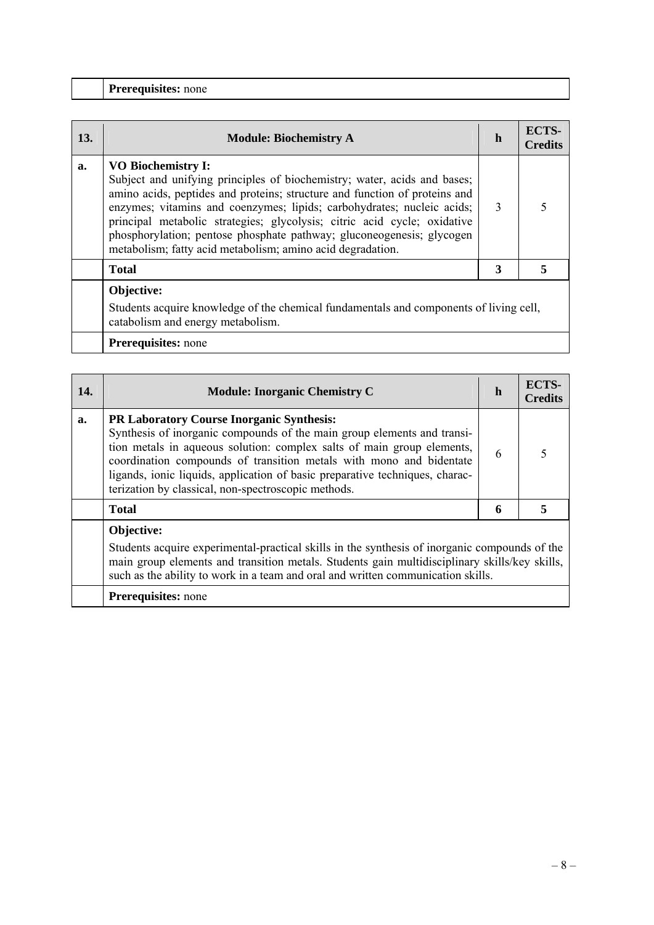| <b>13.</b> | <b>Module: Biochemistry A</b>                                                                                                                                                                                                                                                                                                                                                                                                                                                    | h             | ECTS-<br><b>Credits</b> |
|------------|----------------------------------------------------------------------------------------------------------------------------------------------------------------------------------------------------------------------------------------------------------------------------------------------------------------------------------------------------------------------------------------------------------------------------------------------------------------------------------|---------------|-------------------------|
| a.         | <b>VO Biochemistry I:</b><br>Subject and unifying principles of biochemistry; water, acids and bases;<br>amino acids, peptides and proteins; structure and function of proteins and<br>enzymes; vitamins and coenzymes; lipids; carbohydrates; nucleic acids;<br>principal metabolic strategies; glycolysis; citric acid cycle; oxidative<br>phosphorylation; pentose phosphate pathway; gluconeogenesis; glycogen<br>metabolism; fatty acid metabolism; amino acid degradation. | $\mathcal{R}$ |                         |
|            | <b>Total</b>                                                                                                                                                                                                                                                                                                                                                                                                                                                                     |               |                         |
|            | Objective:                                                                                                                                                                                                                                                                                                                                                                                                                                                                       |               |                         |

Students acquire knowledge of the chemical fundamentals and components of living cell, catabolism and energy metabolism.

| 14. | <b>Module: Inorganic Chemistry C</b>                                                                                                                                                                                                                                                                                                                                                                                | h | <b>ECTS-</b><br><b>Credits</b> |
|-----|---------------------------------------------------------------------------------------------------------------------------------------------------------------------------------------------------------------------------------------------------------------------------------------------------------------------------------------------------------------------------------------------------------------------|---|--------------------------------|
| a.  | <b>PR Laboratory Course Inorganic Synthesis:</b><br>Synthesis of inorganic compounds of the main group elements and transi-<br>tion metals in aqueous solution: complex salts of main group elements,<br>coordination compounds of transition metals with mono and bidentate<br>ligands, ionic liquids, application of basic preparative techniques, charac-<br>terization by classical, non-spectroscopic methods. |   |                                |
|     | <b>Total</b>                                                                                                                                                                                                                                                                                                                                                                                                        | 6 | 5                              |
|     | Objective:<br>Students acquire experimental-practical skills in the synthesis of inorganic compounds of the<br>main group elements and transition metals. Students gain multidisciplinary skills/key skills,<br>such as the ability to work in a team and oral and written communication skills.                                                                                                                    |   |                                |
|     | <b>Prerequisites:</b> none                                                                                                                                                                                                                                                                                                                                                                                          |   |                                |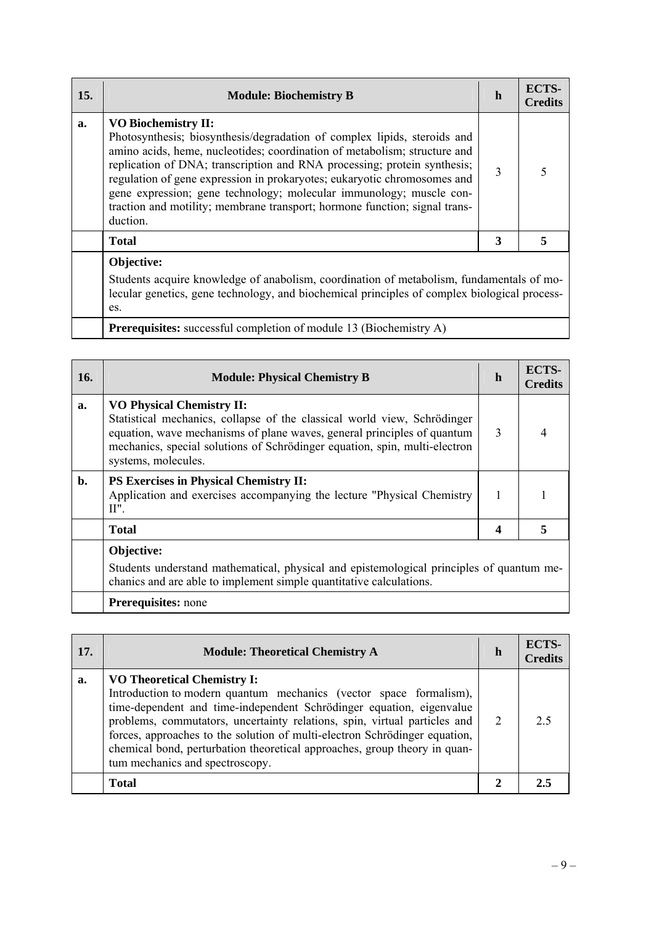| 15. | <b>Module: Biochemistry B</b>                                                                                                                                                                                                                                                                                                                                                                                                                                                                                | h | <b>ECTS-</b><br><b>Credits</b> |
|-----|--------------------------------------------------------------------------------------------------------------------------------------------------------------------------------------------------------------------------------------------------------------------------------------------------------------------------------------------------------------------------------------------------------------------------------------------------------------------------------------------------------------|---|--------------------------------|
| a.  | <b>VO Biochemistry II:</b><br>Photosynthesis; biosynthesis/degradation of complex lipids, steroids and<br>amino acids, heme, nucleotides; coordination of metabolism; structure and<br>replication of DNA; transcription and RNA processing; protein synthesis;<br>regulation of gene expression in prokaryotes; eukaryotic chromosomes and<br>gene expression; gene technology; molecular immunology; muscle con-<br>traction and motility; membrane transport; hormone function; signal trans-<br>duction. | 3 |                                |
|     | <b>Total</b>                                                                                                                                                                                                                                                                                                                                                                                                                                                                                                 | 3 |                                |
|     | Objective:<br>Students acquire knowledge of anabolism, coordination of metabolism, fundamentals of mo-<br>lecular genetics, gene technology, and biochemical principles of complex biological process-<br>es.                                                                                                                                                                                                                                                                                                |   |                                |

|  |  |  | <b>Prerequisites:</b> successful completion of module 13 (Biochemistry A) |  |
|--|--|--|---------------------------------------------------------------------------|--|
|  |  |  |                                                                           |  |

| 16.            | <b>Module: Physical Chemistry B</b>                                                                                                                                                                                                                                                          | h | <b>ECTS-</b><br><b>Credits</b> |
|----------------|----------------------------------------------------------------------------------------------------------------------------------------------------------------------------------------------------------------------------------------------------------------------------------------------|---|--------------------------------|
| a.             | <b>VO Physical Chemistry II:</b><br>Statistical mechanics, collapse of the classical world view, Schrödinger<br>equation, wave mechanisms of plane waves, general principles of quantum<br>mechanics, special solutions of Schrödinger equation, spin, multi-electron<br>systems, molecules. | 3 |                                |
| $\mathbf{b}$ . | <b>PS Exercises in Physical Chemistry II:</b><br>Application and exercises accompanying the lecture "Physical Chemistry"<br>$II$ ".                                                                                                                                                          |   |                                |
|                | <b>Total</b>                                                                                                                                                                                                                                                                                 | 4 |                                |
|                | Objective:<br>Students understand mathematical, physical and epistemological principles of quantum me-<br>chanics and are able to implement simple quantitative calculations.                                                                                                                |   |                                |
|                | <b>Prerequisites:</b> none                                                                                                                                                                                                                                                                   |   |                                |

| 17. | <b>Module: Theoretical Chemistry A</b>                                                                                                                                                                                                                                                                                                                                                                                                                      | h | ECTS-<br><b>Credits</b> |
|-----|-------------------------------------------------------------------------------------------------------------------------------------------------------------------------------------------------------------------------------------------------------------------------------------------------------------------------------------------------------------------------------------------------------------------------------------------------------------|---|-------------------------|
| a.  | <b>VO Theoretical Chemistry I:</b><br>Introduction to modern quantum mechanics (vector space formalism),<br>time-dependent and time-independent Schrödinger equation, eigenvalue<br>problems, commutators, uncertainty relations, spin, virtual particles and<br>forces, approaches to the solution of multi-electron Schrödinger equation,<br>chemical bond, perturbation theoretical approaches, group theory in quan-<br>tum mechanics and spectroscopy. | 2 | 25                      |
|     | <b>Total</b>                                                                                                                                                                                                                                                                                                                                                                                                                                                |   |                         |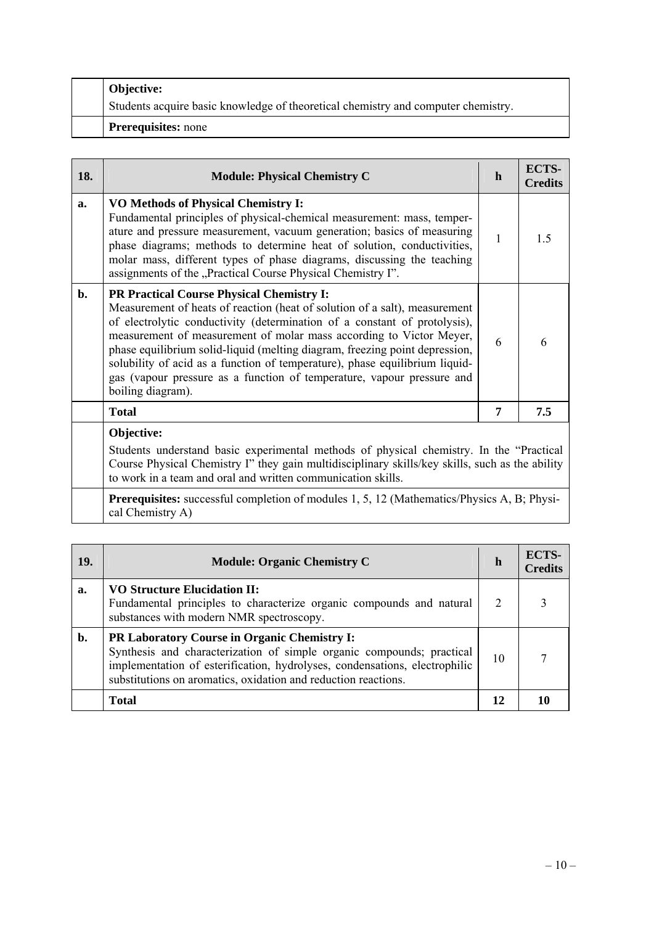| <b>Objective:</b>                                                                 |
|-----------------------------------------------------------------------------------|
| Students acquire basic knowledge of theoretical chemistry and computer chemistry. |
| <b>Prerequisites:</b> none                                                        |

| 18.            | <b>Module: Physical Chemistry C</b>                                                                                                                                                                                                                                                                                                                                                                                                                                                                                                             | $\mathbf h$                                                                                                                                                                                 | ECTS-<br><b>Credits</b> |
|----------------|-------------------------------------------------------------------------------------------------------------------------------------------------------------------------------------------------------------------------------------------------------------------------------------------------------------------------------------------------------------------------------------------------------------------------------------------------------------------------------------------------------------------------------------------------|---------------------------------------------------------------------------------------------------------------------------------------------------------------------------------------------|-------------------------|
| a.             | <b>VO Methods of Physical Chemistry I:</b><br>Fundamental principles of physical-chemical measurement: mass, temper-<br>ature and pressure measurement, vacuum generation; basics of measuring<br>phase diagrams; methods to determine heat of solution, conductivities,<br>molar mass, different types of phase diagrams, discussing the teaching<br>assignments of the "Practical Course Physical Chemistry I".                                                                                                                               | 1                                                                                                                                                                                           | $1\overline{5}$         |
| $\mathbf{b}$ . | <b>PR Practical Course Physical Chemistry I:</b><br>Measurement of heats of reaction (heat of solution of a salt), measurement<br>of electrolytic conductivity (determination of a constant of protolysis),<br>measurement of measurement of molar mass according to Victor Meyer,<br>phase equilibrium solid-liquid (melting diagram, freezing point depression,<br>solubility of acid as a function of temperature), phase equilibrium liquid-<br>gas (vapour pressure as a function of temperature, vapour pressure and<br>boiling diagram). | 6                                                                                                                                                                                           | 6                       |
|                | <b>Total</b>                                                                                                                                                                                                                                                                                                                                                                                                                                                                                                                                    | 7                                                                                                                                                                                           | 7.5                     |
|                | Objective:                                                                                                                                                                                                                                                                                                                                                                                                                                                                                                                                      |                                                                                                                                                                                             |                         |
|                |                                                                                                                                                                                                                                                                                                                                                                                                                                                                                                                                                 | Students understand basic experimental methods of physical chemistry. In the "Practical<br>Course Physical Chemistry I'' they gain multidisciplinary skills/key skills, such as the ability |                         |
|                | <b>Dramaguigitage</b> guagescaful equipmentation of modules $1.5$ , $12$ (Mothematics/Dhysics A. D. Dhysi-                                                                                                                                                                                                                                                                                                                                                                                                                                      |                                                                                                                                                                                             |                         |

**Prerequisites:** successful completion of modules 1, 5, 12 (Mathematics/Physics A, B; Physical Chemistry A)

| <b>19.</b> | <b>Module: Organic Chemistry C</b>                                                                                                                                                                                                                                           | h  | ECTS-<br><b>Credits</b> |
|------------|------------------------------------------------------------------------------------------------------------------------------------------------------------------------------------------------------------------------------------------------------------------------------|----|-------------------------|
| a.         | <b>VO Structure Elucidation II:</b><br>Fundamental principles to characterize organic compounds and natural<br>substances with modern NMR spectroscopy.                                                                                                                      | 2  |                         |
| b.         | <b>PR Laboratory Course in Organic Chemistry I:</b><br>Synthesis and characterization of simple organic compounds; practical<br>implementation of esterification, hydrolyses, condensations, electrophilic<br>substitutions on aromatics, oxidation and reduction reactions. | 10 |                         |
|            | <b>Total</b>                                                                                                                                                                                                                                                                 | 12 |                         |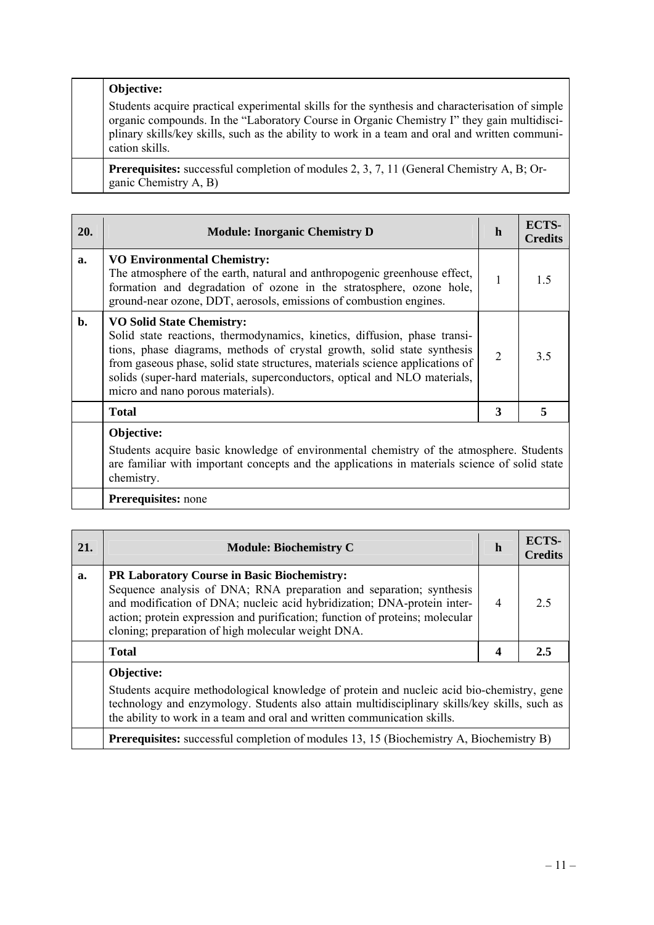# **Objective:**

Students acquire practical experimental skills for the synthesis and characterisation of simple organic compounds. In the "Laboratory Course in Organic Chemistry I" they gain multidisciplinary skills/key skills, such as the ability to work in a team and oral and written communication skills.

**Prerequisites:** successful completion of modules 2, 3, 7, 11 (General Chemistry A, B; Organic Chemistry A, B)

| 20.            | <b>Module: Inorganic Chemistry D</b>                                                                                                                                                                                                                                                                                                                                                        | h | ECTS-<br>C <b>redits</b> |
|----------------|---------------------------------------------------------------------------------------------------------------------------------------------------------------------------------------------------------------------------------------------------------------------------------------------------------------------------------------------------------------------------------------------|---|--------------------------|
| a.             | <b>VO Environmental Chemistry:</b><br>The atmosphere of the earth, natural and anthropogenic greenhouse effect,<br>formation and degradation of ozone in the stratosphere, ozone hole,<br>ground-near ozone, DDT, aerosols, emissions of combustion engines.                                                                                                                                | 1 | 15                       |
| $\mathbf{b}$ . | <b>VO Solid State Chemistry:</b><br>Solid state reactions, thermodynamics, kinetics, diffusion, phase transi-<br>tions, phase diagrams, methods of crystal growth, solid state synthesis<br>from gaseous phase, solid state structures, materials science applications of<br>solids (super-hard materials, superconductors, optical and NLO materials,<br>micro and nano porous materials). | 2 | 3.5                      |
|                | <b>Total</b>                                                                                                                                                                                                                                                                                                                                                                                | 3 |                          |
|                | Objective:<br>Students acquire basic knowledge of environmental chemistry of the atmosphere. Students<br>are familiar with important concepts and the applications in materials science of solid state                                                                                                                                                                                      |   |                          |

chemistry.

| 21. | <b>Module: Biochemistry C</b>                                                                                                                                                                                                                                                                                                              | h | <b>ECTS-</b><br><b>Credits</b> |
|-----|--------------------------------------------------------------------------------------------------------------------------------------------------------------------------------------------------------------------------------------------------------------------------------------------------------------------------------------------|---|--------------------------------|
| a.  | <b>PR Laboratory Course in Basic Biochemistry:</b><br>Sequence analysis of DNA; RNA preparation and separation; synthesis<br>and modification of DNA; nucleic acid hybridization; DNA-protein inter-<br>action; protein expression and purification; function of proteins; molecular<br>cloning; preparation of high molecular weight DNA. | 4 | 2.5                            |
|     | <b>Total</b>                                                                                                                                                                                                                                                                                                                               | 4 | 2.5                            |
|     | Objective:<br>Students acquire methodological knowledge of protein and nucleic acid bio-chemistry, gene<br>technology and enzymology. Students also attain multidisciplinary skills/key skills, such as<br>the ability to work in a team and oral and written communication skills.                                                        |   |                                |
|     | <b>Prerequisites:</b> successful completion of modules 13, 15 (Biochemistry A, Biochemistry B)                                                                                                                                                                                                                                             |   |                                |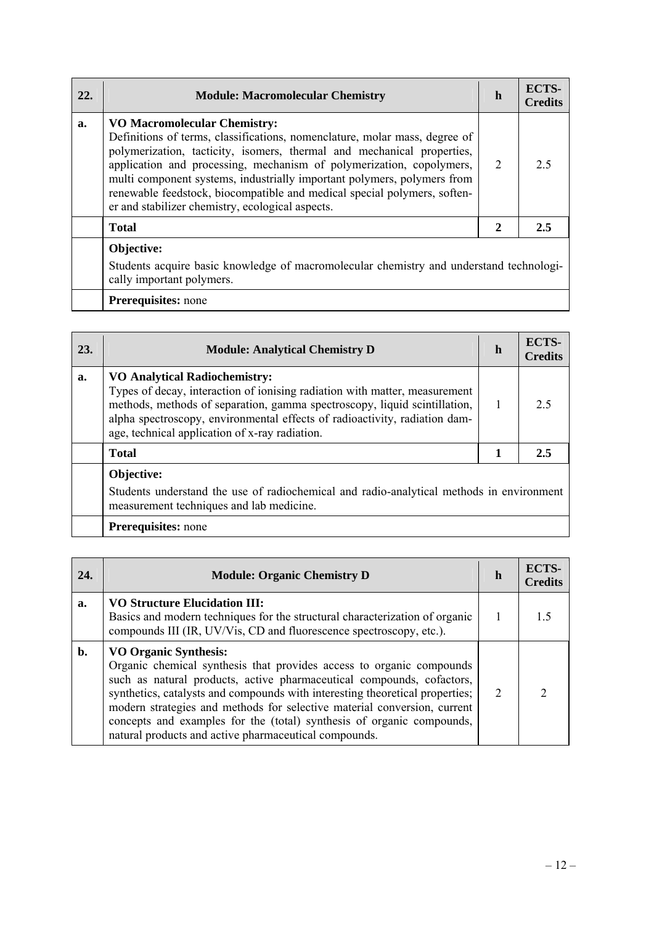| 22. | <b>Module: Macromolecular Chemistry</b>                                                                                                                                                                                                                                                                                                                                                                                                                                        | h                           | ECTS-<br><b>Credits</b> |
|-----|--------------------------------------------------------------------------------------------------------------------------------------------------------------------------------------------------------------------------------------------------------------------------------------------------------------------------------------------------------------------------------------------------------------------------------------------------------------------------------|-----------------------------|-------------------------|
| a.  | <b>VO Macromolecular Chemistry:</b><br>Definitions of terms, classifications, nomenclature, molar mass, degree of<br>polymerization, tacticity, isomers, thermal and mechanical properties,<br>application and processing, mechanism of polymerization, copolymers,<br>multi component systems, industrially important polymers, polymers from<br>renewable feedstock, biocompatible and medical special polymers, soften-<br>er and stabilizer chemistry, ecological aspects. | $\mathcal{D}_{\mathcal{L}}$ | 2.5                     |
|     | <b>Total</b>                                                                                                                                                                                                                                                                                                                                                                                                                                                                   | $\mathbf{2}$                | 2.5                     |
|     | Objective:<br>Students acquire basic knowledge of macromolecular chemistry and understand technologi-<br>cally important polymers.                                                                                                                                                                                                                                                                                                                                             |                             |                         |

| 23. | <b>Module: Analytical Chemistry D</b>                                                                                                                                                                                                                                                                                           | h | ECTS-<br><b>Credits</b> |
|-----|---------------------------------------------------------------------------------------------------------------------------------------------------------------------------------------------------------------------------------------------------------------------------------------------------------------------------------|---|-------------------------|
| a.  | <b>VO Analytical Radiochemistry:</b><br>Types of decay, interaction of ionising radiation with matter, measurement<br>methods, methods of separation, gamma spectroscopy, liquid scintillation,<br>alpha spectroscopy, environmental effects of radioactivity, radiation dam-<br>age, technical application of x-ray radiation. |   | 25                      |
|     | <b>Total</b>                                                                                                                                                                                                                                                                                                                    | 1 | 2.5                     |
|     | Objective:<br>Students understand the use of radiochemical and radio-analytical methods in environment<br>measurement techniques and lab medicine.                                                                                                                                                                              |   |                         |
|     | Prerequisites: none                                                                                                                                                                                                                                                                                                             |   |                         |

| 24. | <b>Module: Organic Chemistry D</b>                                                                                                                                                                                                                                                                                                                                                                                                                                          | h             | ECTS-<br><b>Credits</b> |
|-----|-----------------------------------------------------------------------------------------------------------------------------------------------------------------------------------------------------------------------------------------------------------------------------------------------------------------------------------------------------------------------------------------------------------------------------------------------------------------------------|---------------|-------------------------|
| a.  | <b>VO Structure Elucidation III:</b><br>Basics and modern techniques for the structural characterization of organic<br>compounds III (IR, UV/Vis, CD and fluorescence spectroscopy, etc.).                                                                                                                                                                                                                                                                                  |               |                         |
| b.  | <b>VO Organic Synthesis:</b><br>Organic chemical synthesis that provides access to organic compounds<br>such as natural products, active pharmaceutical compounds, cofactors,<br>synthetics, catalysts and compounds with interesting theoretical properties;<br>modern strategies and methods for selective material conversion, current<br>concepts and examples for the (total) synthesis of organic compounds,<br>natural products and active pharmaceutical compounds. | $\mathcal{L}$ |                         |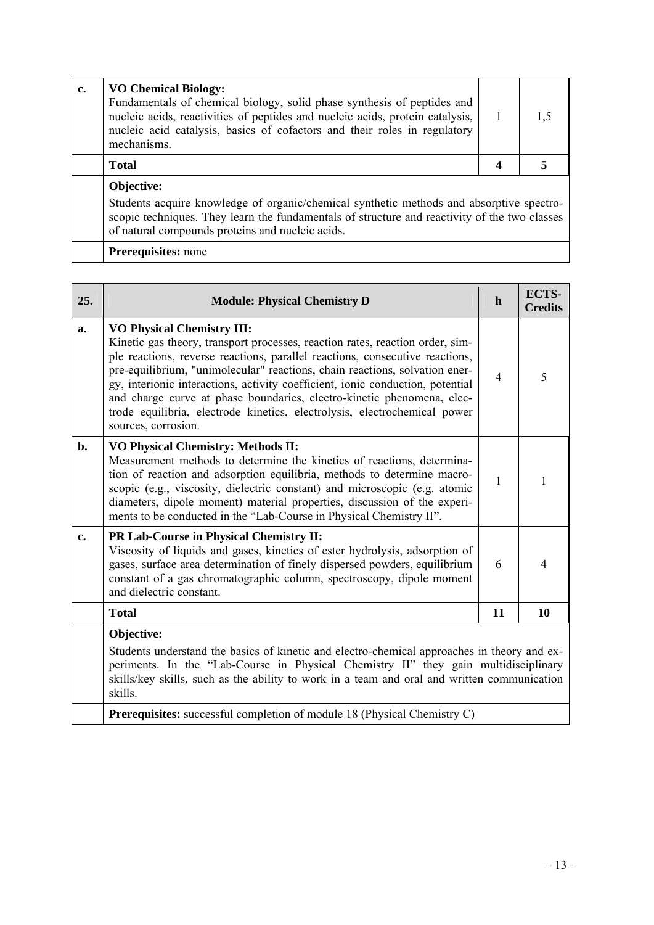| c. | <b>VO Chemical Biology:</b><br>Fundamentals of chemical biology, solid phase synthesis of peptides and<br>nucleic acids, reactivities of peptides and nucleic acids, protein catalysis,<br>nucleic acid catalysis, basics of cofactors and their roles in regulatory<br>mechanisms. | 1.5 |
|----|-------------------------------------------------------------------------------------------------------------------------------------------------------------------------------------------------------------------------------------------------------------------------------------|-----|
|    | <b>Total</b>                                                                                                                                                                                                                                                                        |     |
|    | Objective:<br>Students acquire knowledge of organic/chemical synthetic methods and absorptive spectro-<br>scopic techniques. They learn the fundamentals of structure and reactivity of the two classes<br>of natural compounds proteins and nucleic acids.                         |     |

| 25.           | <b>Module: Physical Chemistry D</b>                                                                                                                                                                                                                                                                                                                                                                                                                                                                                                               | $\mathbf{h}$   | ECTS-<br><b>Credits</b> |
|---------------|---------------------------------------------------------------------------------------------------------------------------------------------------------------------------------------------------------------------------------------------------------------------------------------------------------------------------------------------------------------------------------------------------------------------------------------------------------------------------------------------------------------------------------------------------|----------------|-------------------------|
| a.            | <b>VO Physical Chemistry III:</b><br>Kinetic gas theory, transport processes, reaction rates, reaction order, sim-<br>ple reactions, reverse reactions, parallel reactions, consecutive reactions,<br>pre-equilibrium, "unimolecular" reactions, chain reactions, solvation ener-<br>gy, interionic interactions, activity coefficient, ionic conduction, potential<br>and charge curve at phase boundaries, electro-kinetic phenomena, elec-<br>trode equilibria, electrode kinetics, electrolysis, electrochemical power<br>sources, corrosion. | $\overline{4}$ | 5                       |
| b.            | <b>VO Physical Chemistry: Methods II:</b><br>Measurement methods to determine the kinetics of reactions, determina-<br>tion of reaction and adsorption equilibria, methods to determine macro-<br>scopic (e.g., viscosity, dielectric constant) and microscopic (e.g. atomic<br>diameters, dipole moment) material properties, discussion of the experi-<br>ments to be conducted in the "Lab-Course in Physical Chemistry II".                                                                                                                   | $\mathbf{1}$   | 1                       |
| $c_{\bullet}$ | PR Lab-Course in Physical Chemistry II:<br>Viscosity of liquids and gases, kinetics of ester hydrolysis, adsorption of<br>gases, surface area determination of finely dispersed powders, equilibrium<br>constant of a gas chromatographic column, spectroscopy, dipole moment<br>and dielectric constant.                                                                                                                                                                                                                                         | 6              | 4                       |
|               | <b>Total</b>                                                                                                                                                                                                                                                                                                                                                                                                                                                                                                                                      | 11             | 10                      |
|               | Objective:<br>Students understand the basics of kinetic and electro-chemical approaches in theory and ex-<br>periments. In the "Lab-Course in Physical Chemistry II" they gain multidisciplinary<br>skills/key skills, such as the ability to work in a team and oral and written communication<br>skills.                                                                                                                                                                                                                                        |                |                         |
|               | Prerequisites: successful completion of module 18 (Physical Chemistry C)                                                                                                                                                                                                                                                                                                                                                                                                                                                                          |                |                         |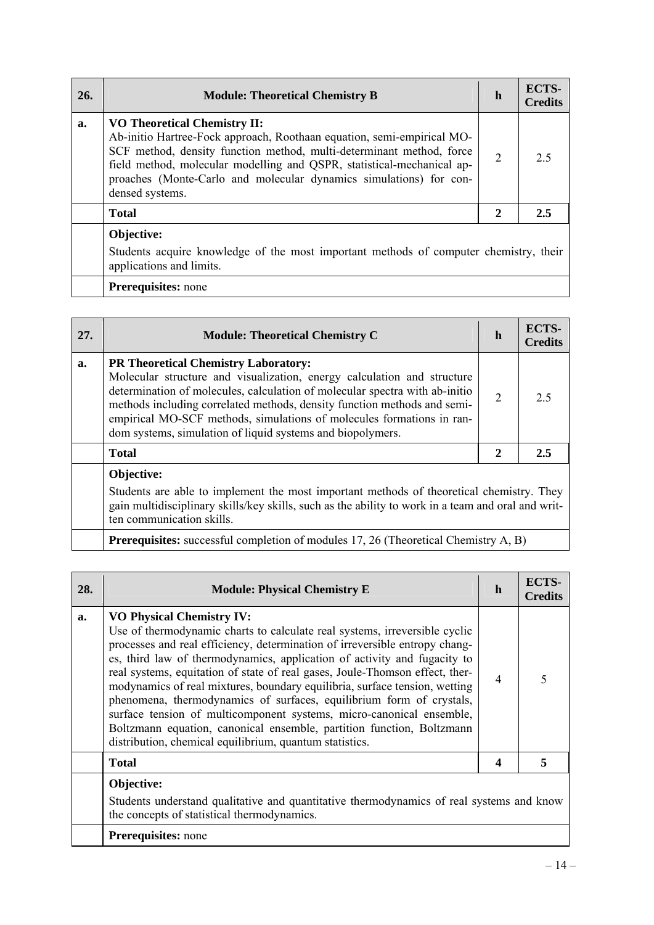| 26. | <b>Module: Theoretical Chemistry B</b>                                                                                                                                                                                                                                                                                                                   | h              | ECTS-<br><b>Credits</b> |
|-----|----------------------------------------------------------------------------------------------------------------------------------------------------------------------------------------------------------------------------------------------------------------------------------------------------------------------------------------------------------|----------------|-------------------------|
| a.  | <b>VO Theoretical Chemistry II:</b><br>Ab-initio Hartree-Fock approach, Roothaan equation, semi-empirical MO-<br>SCF method, density function method, multi-determinant method, force<br>field method, molecular modelling and QSPR, statistical-mechanical ap-<br>proaches (Monte-Carlo and molecular dynamics simulations) for con-<br>densed systems. | $\overline{2}$ | 2.5                     |
|     | <b>Total</b>                                                                                                                                                                                                                                                                                                                                             | 2              | 2.5                     |
|     | Objective:<br>Students acquire knowledge of the most important methods of computer chemistry, their<br>applications and limits.                                                                                                                                                                                                                          |                |                         |
|     | <b>Prerequisites:</b> none                                                                                                                                                                                                                                                                                                                               |                |                         |

| 27. | <b>Module: Theoretical Chemistry C</b>                                                                                                                                                                                                                                                                                                                                                                                   | h              | <b>ECTS-</b><br><b>Credits</b> |
|-----|--------------------------------------------------------------------------------------------------------------------------------------------------------------------------------------------------------------------------------------------------------------------------------------------------------------------------------------------------------------------------------------------------------------------------|----------------|--------------------------------|
| a.  | <b>PR Theoretical Chemistry Laboratory:</b><br>Molecular structure and visualization, energy calculation and structure<br>determination of molecules, calculation of molecular spectra with ab-initio<br>methods including correlated methods, density function methods and semi-<br>empirical MO-SCF methods, simulations of molecules formations in ran-<br>dom systems, simulation of liquid systems and biopolymers. | $\overline{2}$ | 2.5                            |
|     | <b>Total</b>                                                                                                                                                                                                                                                                                                                                                                                                             | $\mathbf{2}$   | 2.5                            |
|     | Objective:                                                                                                                                                                                                                                                                                                                                                                                                               |                |                                |
|     | Students are able to implement the most important methods of theoretical chemistry. They<br>gain multidisciplinary skills/key skills, such as the ability to work in a team and oral and writ-<br>ten communication skills.                                                                                                                                                                                              |                |                                |

**Prerequisites:** successful completion of modules 17, 26 (Theoretical Chemistry A, B)

| 28. | <b>Module: Physical Chemistry E</b>                                                                                                                                                                                                                                                                                                                                                                                                                                                                                                                                                                                                                                                                                         | h              | ECTS-<br><b>Credits</b> |
|-----|-----------------------------------------------------------------------------------------------------------------------------------------------------------------------------------------------------------------------------------------------------------------------------------------------------------------------------------------------------------------------------------------------------------------------------------------------------------------------------------------------------------------------------------------------------------------------------------------------------------------------------------------------------------------------------------------------------------------------------|----------------|-------------------------|
| a.  | <b>VO Physical Chemistry IV:</b><br>Use of thermodynamic charts to calculate real systems, irreversible cyclic<br>processes and real efficiency, determination of irreversible entropy chang-<br>es, third law of thermodynamics, application of activity and fugacity to<br>real systems, equitation of state of real gases, Joule-Thomson effect, ther-<br>modynamics of real mixtures, boundary equilibria, surface tension, wetting<br>phenomena, thermodynamics of surfaces, equilibrium form of crystals,<br>surface tension of multicomponent systems, micro-canonical ensemble,<br>Boltzmann equation, canonical ensemble, partition function, Boltzmann<br>distribution, chemical equilibrium, quantum statistics. | $\overline{4}$ |                         |
|     | <b>Total</b>                                                                                                                                                                                                                                                                                                                                                                                                                                                                                                                                                                                                                                                                                                                | 4              | 5                       |
|     | Objective:<br>Students understand qualitative and quantitative thermodynamics of real systems and know<br>the concepts of statistical thermodynamics.<br><b>Prerequisites:</b> none                                                                                                                                                                                                                                                                                                                                                                                                                                                                                                                                         |                |                         |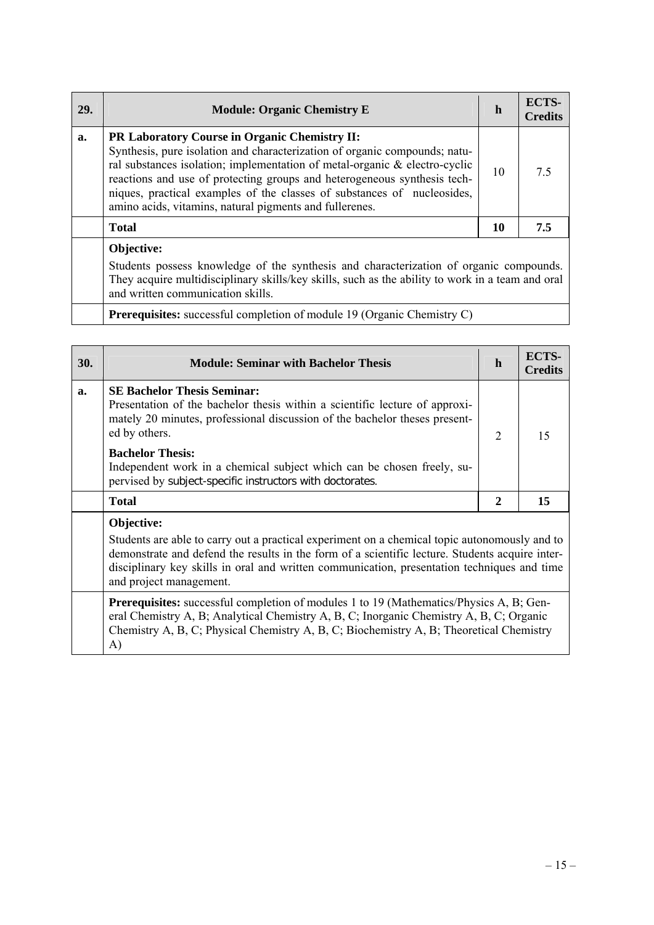| <b>29.</b> | <b>Module: Organic Chemistry E</b>                                                                                                                                                                                                                                                                                                                                                                                                 | $\mathbf h$ | ECTS-<br><b>Credits</b> |
|------------|------------------------------------------------------------------------------------------------------------------------------------------------------------------------------------------------------------------------------------------------------------------------------------------------------------------------------------------------------------------------------------------------------------------------------------|-------------|-------------------------|
| a.         | <b>PR Laboratory Course in Organic Chemistry II:</b><br>Synthesis, pure isolation and characterization of organic compounds; natu-<br>ral substances isolation; implementation of metal-organic & electro-cyclic<br>reactions and use of protecting groups and heterogeneous synthesis tech-<br>niques, practical examples of the classes of substances of nucleosides,<br>amino acids, vitamins, natural pigments and fullerenes. | 10          | 75                      |
|            | <b>Total</b>                                                                                                                                                                                                                                                                                                                                                                                                                       | 10          | 7.5                     |
|            | Objective:<br>Students possess knowledge of the synthesis and characterization of organic compounds.                                                                                                                                                                                                                                                                                                                               |             |                         |

They acquire multidisciplinary skills/key skills, such as the ability to work in a team and oral and written communication skills.

**Prerequisites:** successful completion of module 19 (Organic Chemistry C)

| <b>30.</b> | <b>Module: Seminar with Bachelor Thesis</b>                                                                                                                                                                                                                                                                                              | h              | ECTS-<br><b>Credits</b> |
|------------|------------------------------------------------------------------------------------------------------------------------------------------------------------------------------------------------------------------------------------------------------------------------------------------------------------------------------------------|----------------|-------------------------|
| a.         | <b>SE Bachelor Thesis Seminar:</b><br>Presentation of the bachelor thesis within a scientific lecture of approxi-<br>mately 20 minutes, professional discussion of the bachelor theses present-<br>ed by others.                                                                                                                         | $\overline{2}$ | 15                      |
|            | <b>Bachelor Thesis:</b><br>Independent work in a chemical subject which can be chosen freely, su-<br>pervised by subject-specific instructors with doctorates.                                                                                                                                                                           |                |                         |
|            | <b>Total</b>                                                                                                                                                                                                                                                                                                                             | 2              | 15                      |
|            | Objective:<br>Students are able to carry out a practical experiment on a chemical topic autonomously and to<br>demonstrate and defend the results in the form of a scientific lecture. Students acquire inter-<br>disciplinary key skills in oral and written communication, presentation techniques and time<br>and project management. |                |                         |

**Prerequisites:** successful completion of modules 1 to 19 (Mathematics/Physics A, B; General Chemistry A, B; Analytical Chemistry A, B, C; Inorganic Chemistry A, B, C; Organic Chemistry A, B, C; Physical Chemistry A, B, C; Biochemistry A, B; Theoretical Chemistry A)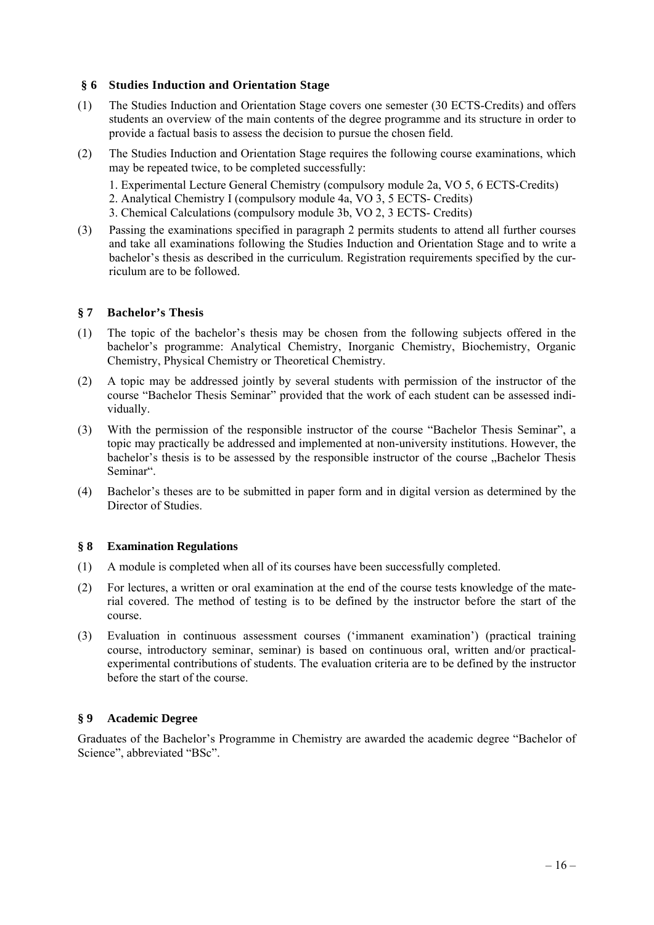### **§ 6 Studies Induction and Orientation Stage**

- (1) The Studies Induction and Orientation Stage covers one semester (30 ECTS-Credits) and offers students an overview of the main contents of the degree programme and its structure in order to provide a factual basis to assess the decision to pursue the chosen field.
- (2) The Studies Induction and Orientation Stage requires the following course examinations, which may be repeated twice, to be completed successfully:
	- 1. Experimental Lecture General Chemistry (compulsory module 2a, VO 5, 6 ECTS-Credits)
	- 2. Analytical Chemistry I (compulsory module 4a, VO 3, 5 ECTS- Credits)
	- 3. Chemical Calculations (compulsory module 3b, VO 2, 3 ECTS- Credits)
- (3) Passing the examinations specified in paragraph 2 permits students to attend all further courses and take all examinations following the Studies Induction and Orientation Stage and to write a bachelor's thesis as described in the curriculum. Registration requirements specified by the curriculum are to be followed.

### **§ 7 Bachelor's Thesis**

- (1) The topic of the bachelor's thesis may be chosen from the following subjects offered in the bachelor's programme: Analytical Chemistry, Inorganic Chemistry, Biochemistry, Organic Chemistry, Physical Chemistry or Theoretical Chemistry.
- (2) A topic may be addressed jointly by several students with permission of the instructor of the course "Bachelor Thesis Seminar" provided that the work of each student can be assessed individually.
- (3) With the permission of the responsible instructor of the course "Bachelor Thesis Seminar", a topic may practically be addressed and implemented at non-university institutions. However, the bachelor's thesis is to be assessed by the responsible instructor of the course . Bachelor Thesis Seminar".
- (4) Bachelor's theses are to be submitted in paper form and in digital version as determined by the Director of Studies.

### **§ 8 Examination Regulations**

- (1) A module is completed when all of its courses have been successfully completed.
- (2) For lectures, a written or oral examination at the end of the course tests knowledge of the material covered. The method of testing is to be defined by the instructor before the start of the course.
- (3) Evaluation in continuous assessment courses ('immanent examination') (practical training course, introductory seminar, seminar) is based on continuous oral, written and/or practicalexperimental contributions of students. The evaluation criteria are to be defined by the instructor before the start of the course.

# **§ 9 Academic Degree**

Graduates of the Bachelor's Programme in Chemistry are awarded the academic degree "Bachelor of Science", abbreviated "BSc".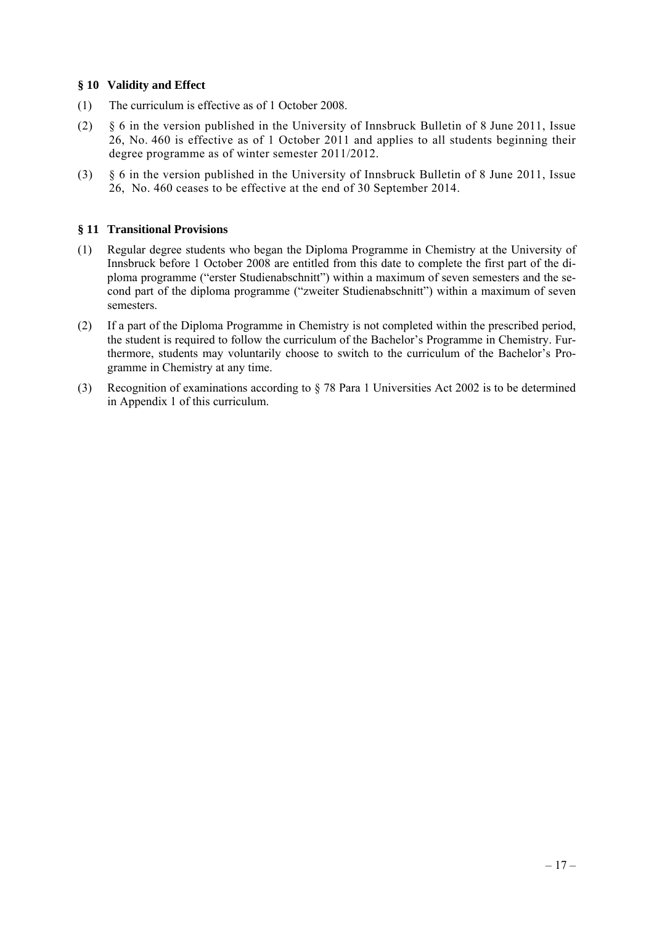### **§ 10 Validity and Effect**

- (1) The curriculum is effective as of 1 October 2008.
- (2) § 6 in the version published in the University of Innsbruck Bulletin of 8 June 2011, Issue 26, No. 460 is effective as of 1 October 2011 and applies to all students beginning their degree programme as of winter semester 2011/2012.
- (3) § 6 in the version published in the University of Innsbruck Bulletin of 8 June 2011, Issue 26, No. 460 ceases to be effective at the end of 30 September 2014.

### **§ 11 Transitional Provisions**

- (1) Regular degree students who began the Diploma Programme in Chemistry at the University of Innsbruck before 1 October 2008 are entitled from this date to complete the first part of the diploma programme ("erster Studienabschnitt") within a maximum of seven semesters and the second part of the diploma programme ("zweiter Studienabschnitt") within a maximum of seven semesters.
- (2) If a part of the Diploma Programme in Chemistry is not completed within the prescribed period, the student is required to follow the curriculum of the Bachelor's Programme in Chemistry. Furthermore, students may voluntarily choose to switch to the curriculum of the Bachelor's Programme in Chemistry at any time.
- (3) Recognition of examinations according to § 78 Para 1 Universities Act 2002 is to be determined in Appendix 1 of this curriculum.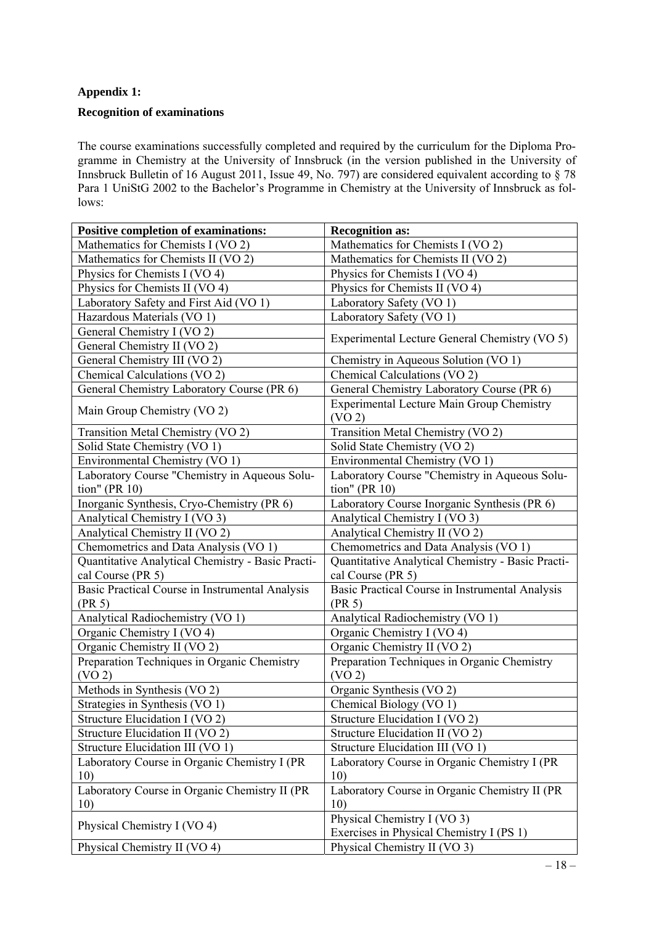# **Appendix 1:**

### **Recognition of examinations**

The course examinations successfully completed and required by the curriculum for the Diploma Programme in Chemistry at the University of Innsbruck (in the version published in the University of Innsbruck Bulletin of 16 August 2011, Issue 49, No. 797) are considered equivalent according to § 78 Para 1 UniStG 2002 to the Bachelor's Programme in Chemistry at the University of Innsbruck as follows:

| <b>Positive completion of examinations:</b>       | <b>Recognition as:</b>                            |  |  |
|---------------------------------------------------|---------------------------------------------------|--|--|
| Mathematics for Chemists I (VO 2)                 | Mathematics for Chemists I (VO 2)                 |  |  |
| Mathematics for Chemists II (VO 2)                | Mathematics for Chemists II (VO 2)                |  |  |
| Physics for Chemists I (VO 4)                     | Physics for Chemists I (VO 4)                     |  |  |
| Physics for Chemists II (VO 4)                    | Physics for Chemists II (VO 4)                    |  |  |
| Laboratory Safety and First Aid (VO 1)            | Laboratory Safety (VO 1)                          |  |  |
| Hazardous Materials (VO 1)                        | Laboratory Safety (VO 1)                          |  |  |
| General Chemistry I (VO 2)                        | Experimental Lecture General Chemistry (VO 5)     |  |  |
| General Chemistry II (VO 2)                       |                                                   |  |  |
| General Chemistry III (VO 2)                      | Chemistry in Aqueous Solution (VO 1)              |  |  |
| Chemical Calculations (VO 2)                      | Chemical Calculations (VO 2)                      |  |  |
| General Chemistry Laboratory Course (PR 6)        | General Chemistry Laboratory Course (PR 6)        |  |  |
|                                                   | <b>Experimental Lecture Main Group Chemistry</b>  |  |  |
| Main Group Chemistry (VO 2)                       | (VO <sub>2</sub> )                                |  |  |
| Transition Metal Chemistry (VO 2)                 | Transition Metal Chemistry (VO 2)                 |  |  |
| Solid State Chemistry (VO 1)                      | Solid State Chemistry (VO 2)                      |  |  |
| Environmental Chemistry (VO 1)                    | Environmental Chemistry (VO 1)                    |  |  |
| Laboratory Course "Chemistry in Aqueous Solu-     | Laboratory Course "Chemistry in Aqueous Solu-     |  |  |
| tion" (PR $10$ )                                  | tion" (PR $10$ )                                  |  |  |
| Inorganic Synthesis, Cryo-Chemistry (PR 6)        | Laboratory Course Inorganic Synthesis (PR 6)      |  |  |
| Analytical Chemistry I (VO 3)                     | Analytical Chemistry I (VO 3)                     |  |  |
| Analytical Chemistry II (VO 2)                    | Analytical Chemistry II (VO 2)                    |  |  |
| Chemometrics and Data Analysis (VO 1)             | Chemometrics and Data Analysis (VO 1)             |  |  |
| Quantitative Analytical Chemistry - Basic Practi- | Quantitative Analytical Chemistry - Basic Practi- |  |  |
| cal Course (PR 5)                                 | cal Course (PR 5)                                 |  |  |
| Basic Practical Course in Instrumental Analysis   | Basic Practical Course in Instrumental Analysis   |  |  |
| (PR 5)                                            | (PR 5)                                            |  |  |
| Analytical Radiochemistry (VO 1)                  | Analytical Radiochemistry (VO 1)                  |  |  |
| Organic Chemistry I (VO 4)                        | Organic Chemistry I (VO 4)                        |  |  |
| Organic Chemistry II (VO 2)                       | Organic Chemistry II (VO 2)                       |  |  |
| Preparation Techniques in Organic Chemistry       | Preparation Techniques in Organic Chemistry       |  |  |
| (VO <sub>2</sub> )                                | (VO <sub>2</sub> )                                |  |  |
| Methods in Synthesis (VO 2)                       | Organic Synthesis (VO 2)                          |  |  |
| Strategies in Synthesis (VO 1)                    | Chemical Biology (VO 1)                           |  |  |
| Structure Elucidation I (VO 2)                    | Structure Elucidation I (VO 2)                    |  |  |
| Structure Elucidation II (VO 2)                   | Structure Elucidation II (VO 2)                   |  |  |
| Structure Elucidation III (VO 1)                  | Structure Elucidation III (VO 1)                  |  |  |
| Laboratory Course in Organic Chemistry I (PR      | Laboratory Course in Organic Chemistry I (PR      |  |  |
| 10)                                               | 10)                                               |  |  |
| Laboratory Course in Organic Chemistry II (PR     | Laboratory Course in Organic Chemistry II (PR     |  |  |
| 10)                                               | 10)                                               |  |  |
| Physical Chemistry I (VO 4)                       | Physical Chemistry I (VO 3)                       |  |  |
|                                                   | Exercises in Physical Chemistry I (PS 1)          |  |  |
| Physical Chemistry II (VO 4)                      | Physical Chemistry II (VO 3)                      |  |  |